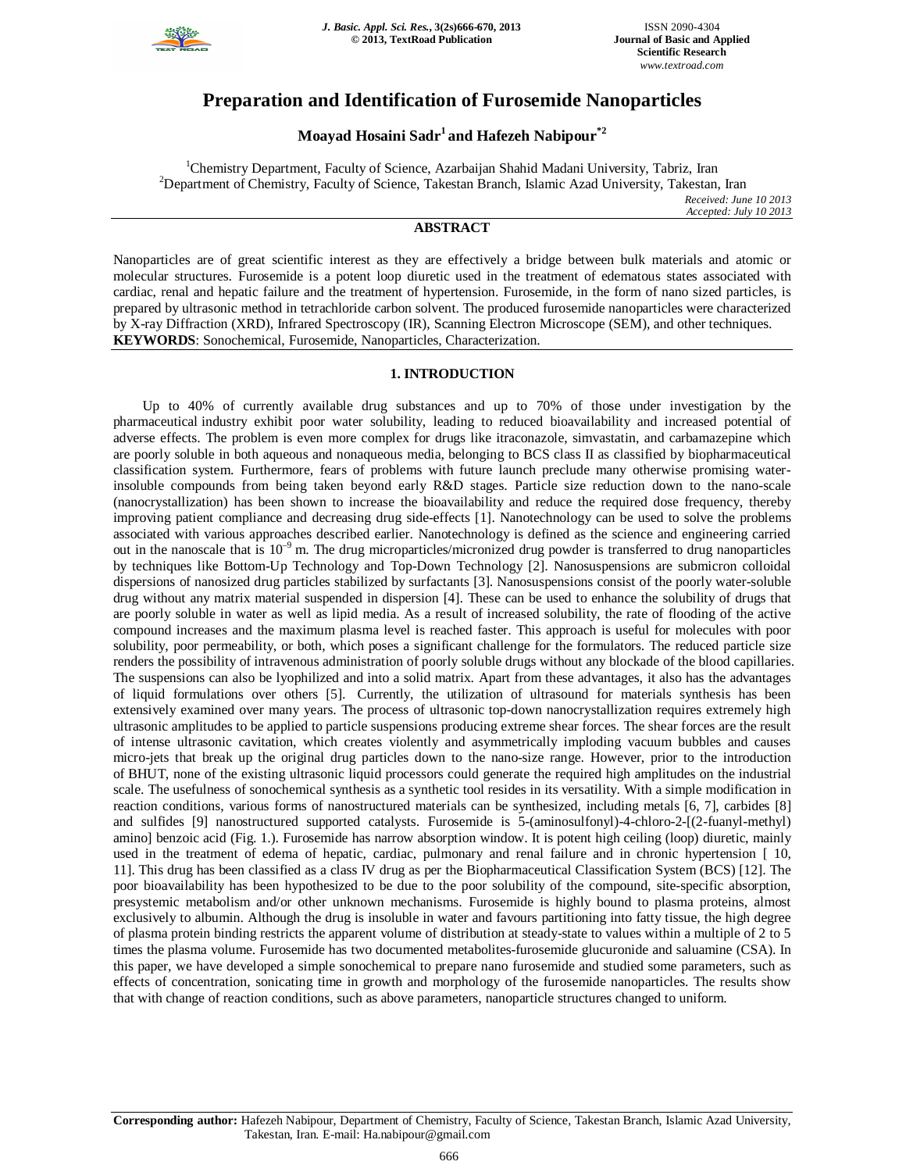

# **Preparation and Identification of Furosemide Nanoparticles**

# **Moayad Hosaini Sadr<sup>1</sup>and Hafezeh Nabipour\*2**

<sup>1</sup>Chemistry Department, Faculty of Science, Azarbaijan Shahid Madani University, Tabriz, Iran <sup>2</sup>Department of Chemistry, Faculty of Science, Takestan Branch, Islamic Azad University, Takestan, Iran *Received: June 10 2013 Accepted: July 10 2013*

# **ABSTRACT**

Nanoparticles are of great scientific interest as they are effectively a bridge between bulk materials and atomic or molecular structures. Furosemide is a potent loop diuretic used in the treatment of edematous states associated with cardiac, renal and hepatic failure and the treatment of hypertension. Furosemide, in the form of nano sized particles, is prepared by ultrasonic method in tetrachloride carbon solvent. The produced furosemide nanoparticles were characterized by X-ray Diffraction (XRD), Infrared Spectroscopy (IR), Scanning Electron Microscope (SEM), and other techniques. **KEYWORDS**: Sonochemical, Furosemide, Nanoparticles, Characterization.

# **1. INTRODUCTION**

Up to 40% of currently available drug substances and up to 70% of those under investigation by the pharmaceutical industry exhibit poor water solubility, leading to reduced bioavailability and increased potential of adverse effects. The problem is even more complex for drugs like itraconazole, simvastatin, and carbamazepine which are poorly soluble in both aqueous and nonaqueous media, belonging to BCS class II as classified by biopharmaceutical classification system. Furthermore, fears of problems with future launch preclude many otherwise promising waterinsoluble compounds from being taken beyond early R&D stages. Particle size reduction down to the nano-scale (nanocrystallization) has been shown to increase the bioavailability and reduce the required dose frequency, thereby improving patient compliance and decreasing drug side-effects [1]. Nanotechnology can be used to solve the problems associated with various approaches described earlier. Nanotechnology is defined as the science and engineering carried out in the nanoscale that is  $10^{-9}$  m. The drug microparticles/micronized drug powder is transferred to drug nanoparticles by techniques like Bottom-Up Technology and Top-Down Technology [2]. Nanosuspensions are submicron colloidal dispersions of nanosized drug particles stabilized by surfactants [3]. Nanosuspensions consist of the poorly water-soluble drug without any matrix material suspended in dispersion [4]. These can be used to enhance the solubility of drugs that are poorly soluble in water as well as lipid media. As a result of increased solubility, the rate of flooding of the active compound increases and the maximum plasma level is reached faster. This approach is useful for molecules with poor solubility, poor permeability, or both, which poses a significant challenge for the formulators. The reduced particle size renders the possibility of intravenous administration of poorly soluble drugs without any blockade of the blood capillaries. The suspensions can also be lyophilized and into a solid matrix. Apart from these advantages, it also has the advantages of liquid formulations over others [5]. Currently, the utilization of ultrasound for materials synthesis has been extensively examined over many years. The process of ultrasonic top-down nanocrystallization requires extremely high ultrasonic amplitudes to be applied to particle suspensions producing extreme shear forces. The shear forces are the result of intense ultrasonic cavitation, which creates violently and asymmetrically imploding vacuum bubbles and causes micro-jets that break up the original drug particles down to the nano-size range. However, prior to the introduction of BHUT, none of the existing ultrasonic liquid processors could generate the required high amplitudes on the industrial scale. The usefulness of sonochemical synthesis as a synthetic tool resides in its versatility. With a simple modification in reaction conditions, various forms of nanostructured materials can be synthesized, including metals [6, 7], carbides [8] and sulfides [9] nanostructured supported catalysts. Furosemide is 5-(aminosulfonyl)-4-chloro-2-[(2-fuanyl-methyl) amino] benzoic acid (Fig. 1.). Furosemide has narrow absorption window. It is potent high ceiling (loop) diuretic, mainly used in the treatment of edema of hepatic, cardiac, pulmonary and renal failure and in chronic hypertension [ 10, 11]. This drug has been classified as a class IV drug as per the Biopharmaceutical Classification System (BCS) [12]. The poor bioavailability has been hypothesized to be due to the poor solubility of the compound, site-specific absorption, presystemic metabolism and/or other unknown mechanisms. Furosemide is highly bound to plasma proteins, almost exclusively to albumin. Although the drug is insoluble in water and favours partitioning into fatty tissue, the high degree of plasma protein binding restricts the apparent volume of distribution at steady-state to values within a multiple of 2 to 5 times the plasma volume. Furosemide has two documented metabolites-furosemide glucuronide and saluamine (CSA). In this paper, we have developed a simple sonochemical to prepare nano furosemide and studied some parameters, such as effects of concentration, sonicating time in growth and morphology of the furosemide nanoparticles. The results show that with change of reaction conditions, such as above parameters, nanoparticle structures changed to uniform.

**Corresponding author:** Hafezeh Nabipour, Department of Chemistry, Faculty of Science, Takestan Branch, Islamic Azad University, Takestan, Iran. E-mail: Ha.nabipour@gmail.com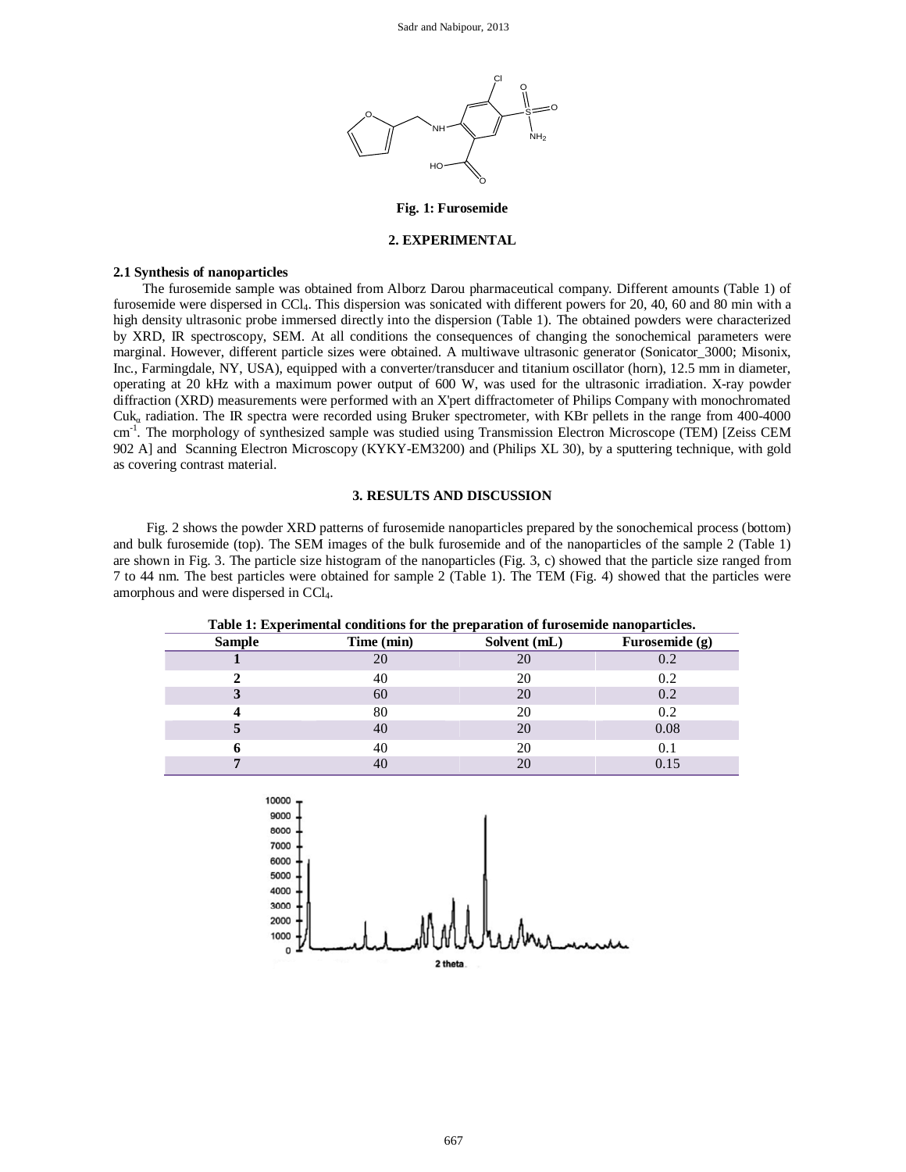

# **Fig. 1: Furosemide**

## **2. EXPERIMENTAL**

#### **2.1 Synthesis of nanoparticles**

The furosemide sample was obtained from Alborz Darou pharmaceutical company. Different amounts (Table 1) of furosemide were dispersed in CCl4. This dispersion was sonicated with different powers for 20, 40, 60 and 80 min with a high density ultrasonic probe immersed directly into the dispersion (Table 1). The obtained powders were characterized by XRD, IR spectroscopy, SEM. At all conditions the consequences of changing the sonochemical parameters were marginal. However, different particle sizes were obtained. A multiwave ultrasonic generator (Sonicator\_3000; Misonix, Inc., Farmingdale, NY, USA), equipped with a converter/transducer and titanium oscillator (horn), 12.5 mm in diameter, operating at 20 kHz with a maximum power output of 600 W, was used for the ultrasonic irradiation. X-ray powder diffraction (XRD) measurements were performed with an X'pert diffractometer of Philips Company with monochromated Cuk<sup>α</sup> radiation. The IR spectra were recorded using Bruker spectrometer, with KBr pellets in the range from 400-4000 cm<sup>-1</sup>. The morphology of synthesized sample was studied using Transmission Electron Microscope (TEM) [Zeiss CEM 902 A] and Scanning Electron Microscopy (KYKY-EM3200) and (Philips XL 30), by a sputtering technique, with gold as covering contrast material.

# **3. RESULTS AND DISCUSSION**

Fig. 2 shows the powder XRD patterns of furosemide nanoparticles prepared by the sonochemical process (bottom) and bulk furosemide (top). The SEM images of the bulk furosemide and of the nanoparticles of the sample 2 (Table 1) are shown in Fig. 3. The particle size histogram of the nanoparticles (Fig. 3, c) showed that the particle size ranged from 7 to 44 nm. The best particles were obtained for sample 2 (Table 1). The TEM (Fig. 4) showed that the particles were amorphous and were dispersed in CCl4.

| Table 1: Experimental conditions for the preparation of furosemide nanoparticles. |            |              |                |
|-----------------------------------------------------------------------------------|------------|--------------|----------------|
| <b>Sample</b>                                                                     | Time (min) | Solvent (mL) | Furosemide (g) |
|                                                                                   | 20         | 20           | 0.2            |
|                                                                                   | 40         | 20           | 0.2            |
|                                                                                   | 60         | 20           | 0.2            |
|                                                                                   | 80         | 20           | 0.2            |
|                                                                                   | 40         | 20           | 0.08           |
|                                                                                   | 40         | 20           | 0.1            |
|                                                                                   | 40         | 20           |                |

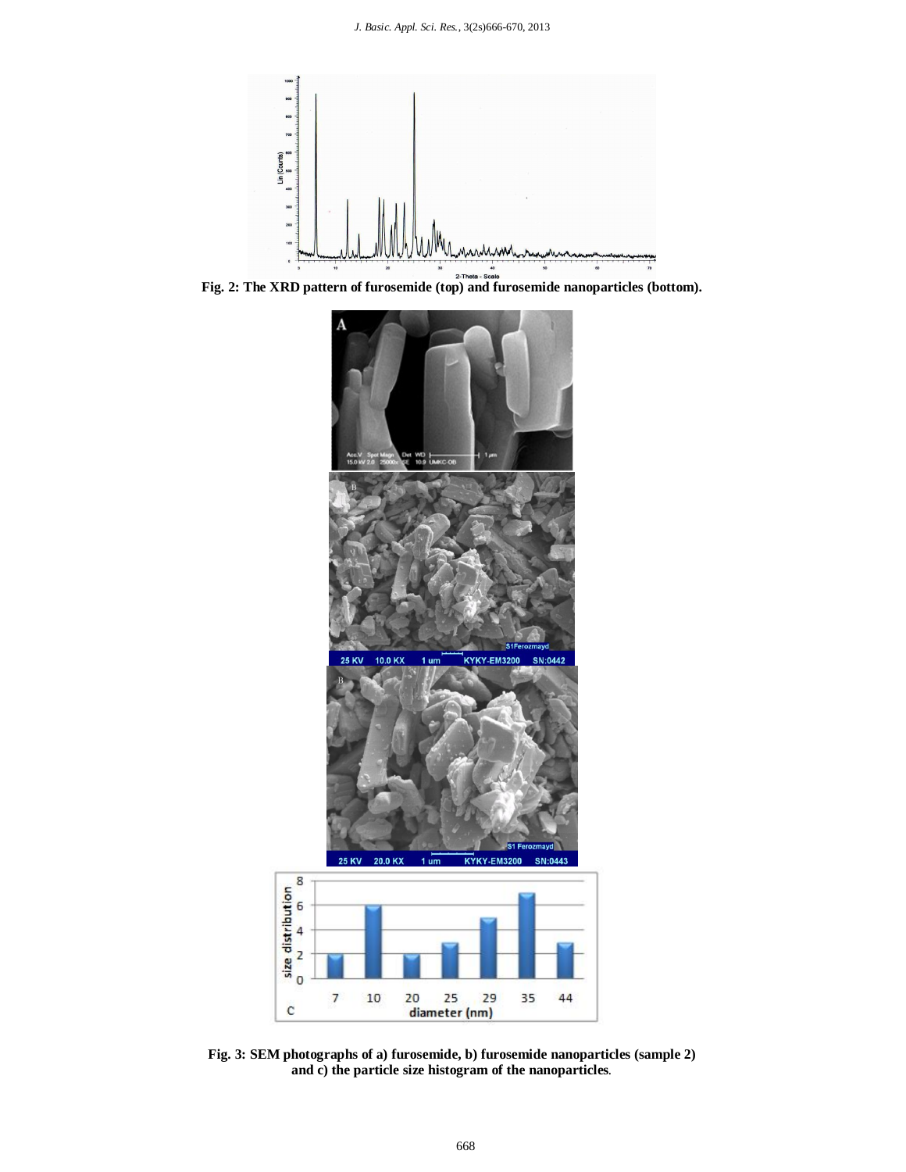

**Fig. 2:** The XRD pattern of furosemide (top) and furosemide nanoparticles (bottom).



**Fig. 3: SEM photographs of a) furosemide, b) furosemide nanoparticles (sample 2) and c) the particle size histogram of the nanoparticles***.*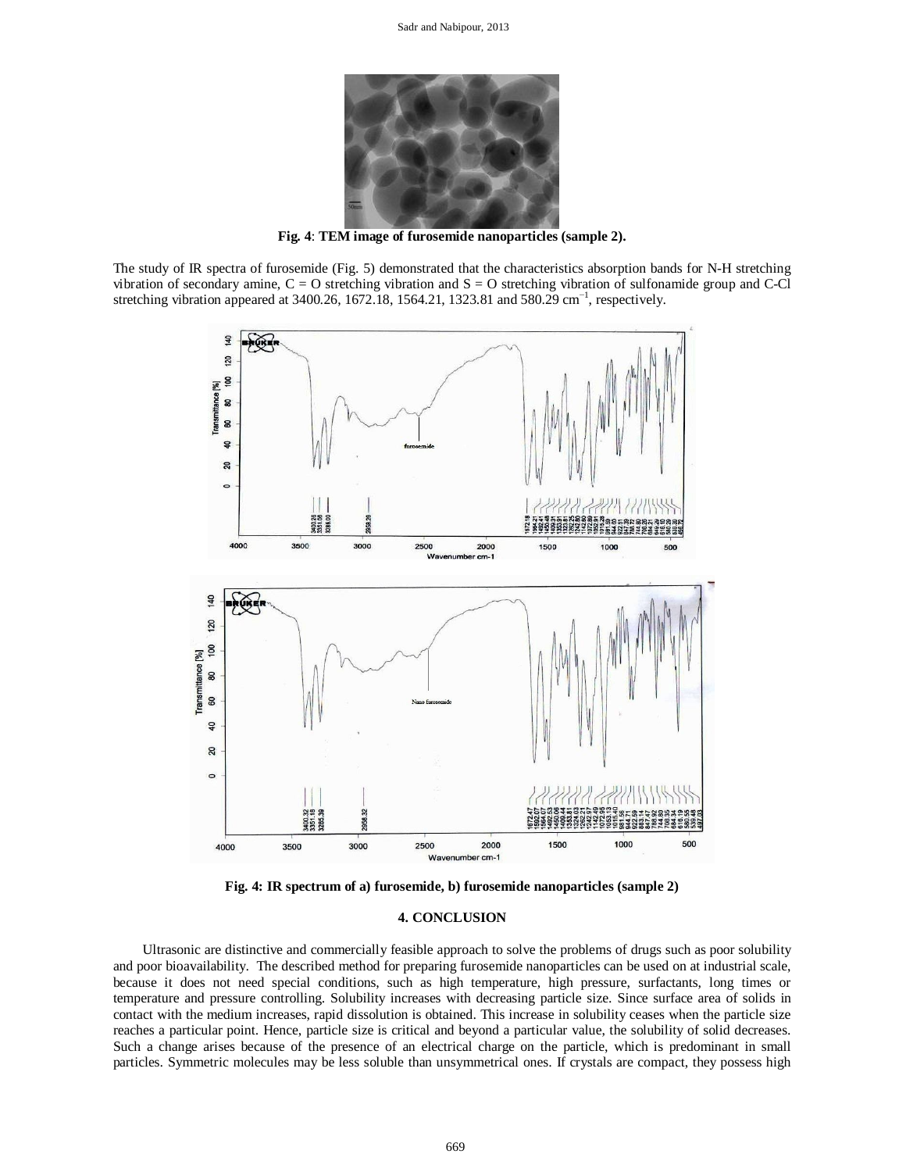

**Fig. 4**: **TEM image of furosemide nanoparticles (sample 2).**

The study of IR spectra of furosemide (Fig. 5) demonstrated that the characteristics absorption bands for N-H stretching vibration of secondary amine,  $C = O$  stretching vibration and  $S = O$  stretching vibration of sulfonamide group and C-Cl stretching vibration appeared at 3400.26, 1672.18, 1564.21, 1323.81 and 580.29 cm<sup>-1</sup>, respectively.



**Fig. 4: IR spectrum of a) furosemide, b) furosemide nanoparticles (sample 2)**

### **4. CONCLUSION**

Ultrasonic are distinctive and commercially feasible approach to solve the problems of drugs such as poor solubility and poor bioavailability. The described method for preparing furosemide nanoparticles can be used on at industrial scale, because it does not need special conditions, such as high temperature, high pressure, surfactants, long times or temperature and pressure controlling. Solubility increases with decreasing particle size. Since surface area of solids in contact with the medium increases, rapid dissolution is obtained. This increase in solubility ceases when the particle size reaches a particular point. Hence, particle size is critical and beyond a particular value, the solubility of solid decreases. Such a change arises because of the presence of an electrical charge on the particle, which is predominant in small particles. Symmetric molecules may be less soluble than unsymmetrical ones. If crystals are compact, they possess high